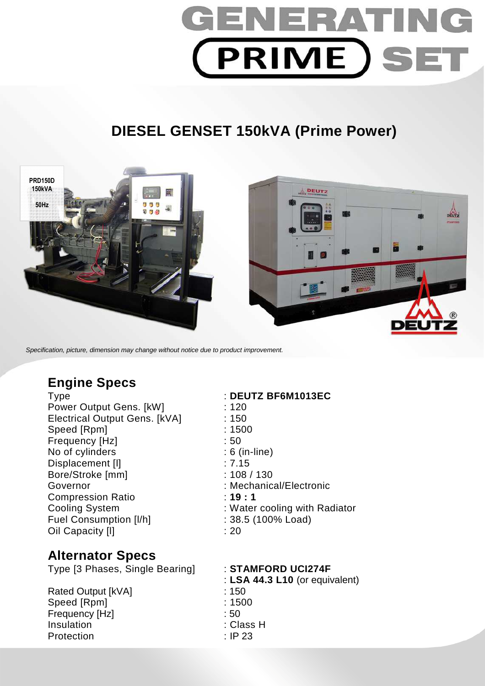

# **DIESEL GENSET 150kVA (Prime Power)**



Specification, picture, dimension may change without notice due to product improvement.

## **Engine Specs**

Power Output Gens. [kW] : 120 Electrical Output Gens. [kVA] : 150 Speed [Rpm] : 1500 Frequency [Hz]  $\qquad \qquad$  : 50 No of cylinders : 6 (in-line) Displacement [I]  $\qquad \qquad$  : 7.15 Bore/Stroke [mm] : 108 / 130 Governor : Mechanical/Electronic Compression Ratio : **19 : 1**  Fuel Consumption [I/h] : 38.5 (100% Load) Oil Capacity [I] **1999** : 20

### **Alternator Specs**

Type [3 Phases, Single Bearing] : **STAMFORD UCI274F** 

Rated Output [kVA] : 150 Speed [Rpm] : 1500 Frequency [Hz] : 50 Insulation : Class H Protection : IP 23

### Type : **DEUTZ BF6M1013EC**

Cooling System : Water cooling with Radiator

: **LSA 44.3 L10** (or equivalent)